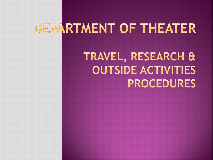# DEPARTMENT OF THEATER

# TRAVEL, RESEARCH & **OUTSIDE ACTIVITIES** PROCEDURES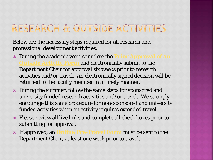### RESEARCH & OUTSIDE ACTIVITIES

Below are the necessary steps required for all research and professional development activities.

- $\odot$  [During the academic year, complete the](https://www.umass.edu/theater/sites/default/files/assets/request_for_prior_approval_of_outside_activitiesfinal.pdf) and electronically submit to the Department Chair for approval six weeks prior to research activities and/or travel. An electronically signed decision will be returned to the faculty member in a timely manner.
- During the summer, follow the same steps for sponsored and university funded research activities and/or travel. We strongly encourage this same procedure for non-sponsored and university funded activities when an activity requires extended travel.
- Please review all live links and complete all check boxes prior to submitting for approval.
- If approved, an **[Online Pre-Travel Form](https://travelregistry.umasscs.net/)** must be sent to the Department Chair, at least one week prior to travel.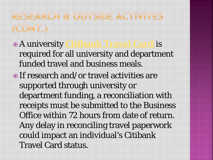## RESEARCH & OUTSIDE ACTIVITES  $(CONT.)$

- A university **[Citibank Travel Card](https://www.umass.edu/procurement/individual-travel-card)** is required for all university and department funded travel and business meals.
- If research and/or travel activities are supported through university or department funding, a reconciliation with receipts must be submitted to the Business Office within 72 hours from date of return. Any delay in reconciling travel paperwork could impact an individual's Citibank Travel Card status.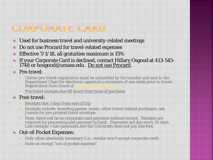### CORPORATE CARD

- Used for business travel and university-related meetings
- Do not use Procard for travel-related expenses
- $\odot$  Effective 7/1/18, all gratuities maximum is 15%
- If your Corporate Card is declined, contact Hillary Osgood at 413-545- 1748 or hosgood@umass.edu. Do not use Procard.

Pre-travel:

- Online pre-travel registration must be submitted by the traveler and sent to the Department Chair for electronic approval a minimum of one week prior to travel. Registration form found at **travelregistry.umasscs.net**.
- **Pre-travel receipts due 48 hours from time of purchase**

#### Post-travel:

- Receipts due 3 days from end of trip
- Receipts include: boarding passes, meals, other travel-related purchases: ask Joanne for pre-printed travel envelope
- Note: there will be no corporate card payment without receipt. Receipts are required for processing and payment to bank. Payments are due every 30 days. Late receipts = late payments and the University does not pay late fees.

#### ● Out-of-Pocket Expenses:

- **-** Only when absolutely necessary (i.e.: vendor won't accept corporate card)
- Note on receipt "out of pocket expense"